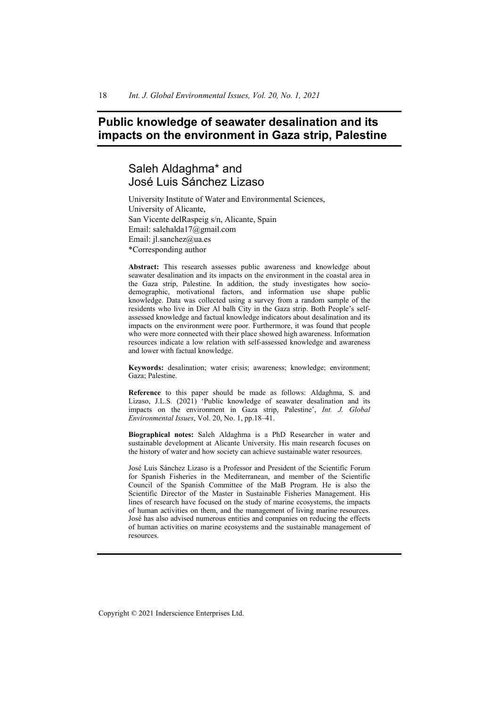# **Public knowledge of seawater desalination and its impacts on the environment in Gaza strip, Palestine**

# Saleh Aldaghma\* and José Luis Sánchez Lizaso

University Institute of Water and Environmental Sciences, University of Alicante, San Vicente delRaspeig s/n, Alicante, Spain Email: salehalda17@gmail.com Email: jl.sanchez@ua.es \*Corresponding author

**Abstract:** This research assesses public awareness and knowledge about seawater desalination and its impacts on the environment in the coastal area in the Gaza strip, Palestine. In addition, the study investigates how sociodemographic, motivational factors, and information use shape public knowledge. Data was collected using a survey from a random sample of the residents who live in Dier Al balh City in the Gaza strip. Both People's selfassessed knowledge and factual knowledge indicators about desalination and its impacts on the environment were poor. Furthermore, it was found that people who were more connected with their place showed high awareness. Information resources indicate a low relation with self-assessed knowledge and awareness and lower with factual knowledge.

**Keywords:** desalination; water crisis; awareness; knowledge; environment; Gaza; Palestine.

**Reference** to this paper should be made as follows: Aldaghma, S. and Lizaso, J.L.S. (2021) 'Public knowledge of seawater desalination and its impacts on the environment in Gaza strip, Palestine', *Int. J. Global Environmental Issues*, Vol. 20, No. 1, pp.18–41.

**Biographical notes:** Saleh Aldaghma is a PhD Researcher in water and sustainable development at Alicante University. His main research focuses on the history of water and how society can achieve sustainable water resources.

José Luis Sánchez Lizaso is a Professor and President of the Scientific Forum for Spanish Fisheries in the Mediterranean, and member of the Scientific Council of the Spanish Committee of the MaB Program. He is also the Scientific Director of the Master in Sustainable Fisheries Management. His lines of research have focused on the study of marine ecosystems, the impacts of human activities on them, and the management of living marine resources. José has also advised numerous entities and companies on reducing the effects of human activities on marine ecosystems and the sustainable management of resources.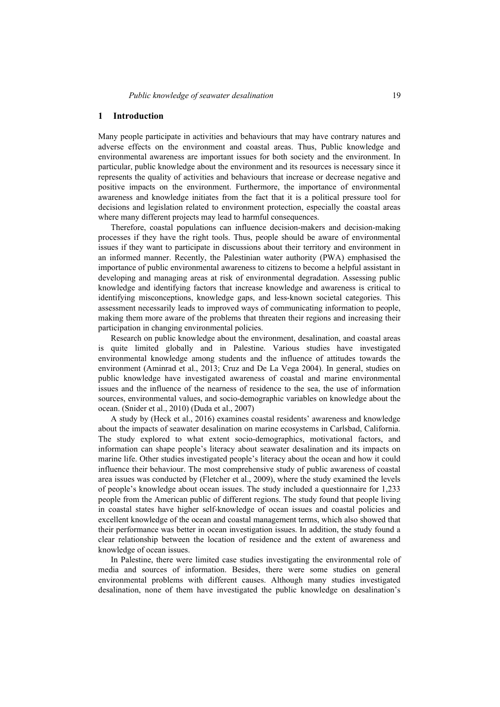#### **1 Introduction**

Many people participate in activities and behaviours that may have contrary natures and adverse effects on the environment and coastal areas. Thus, Public knowledge and environmental awareness are important issues for both society and the environment. In particular, public knowledge about the environment and its resources is necessary since it represents the quality of activities and behaviours that increase or decrease negative and positive impacts on the environment. Furthermore, the importance of environmental awareness and knowledge initiates from the fact that it is a political pressure tool for decisions and legislation related to environment protection, especially the coastal areas where many different projects may lead to harmful consequences.

Therefore, coastal populations can influence decision-makers and decision-making processes if they have the right tools. Thus, people should be aware of environmental issues if they want to participate in discussions about their territory and environment in an informed manner. Recently, the Palestinian water authority (PWA) emphasised the importance of public environmental awareness to citizens to become a helpful assistant in developing and managing areas at risk of environmental degradation. Assessing public knowledge and identifying factors that increase knowledge and awareness is critical to identifying misconceptions, knowledge gaps, and less-known societal categories. This assessment necessarily leads to improved ways of communicating information to people, making them more aware of the problems that threaten their regions and increasing their participation in changing environmental policies.

Research on public knowledge about the environment, desalination, and coastal areas is quite limited globally and in Palestine. Various studies have investigated environmental knowledge among students and the influence of attitudes towards the environment (Aminrad et al., 2013; Cruz and De La Vega 2004). In general, studies on public knowledge have investigated awareness of coastal and marine environmental issues and the influence of the nearness of residence to the sea, the use of information sources, environmental values, and socio-demographic variables on knowledge about the ocean. (Snider et al., 2010) (Duda et al., 2007)

A study by (Heck et al., 2016) examines coastal residents' awareness and knowledge about the impacts of seawater desalination on marine ecosystems in Carlsbad, California. The study explored to what extent socio-demographics, motivational factors, and information can shape people's literacy about seawater desalination and its impacts on marine life. Other studies investigated people's literacy about the ocean and how it could influence their behaviour. The most comprehensive study of public awareness of coastal area issues was conducted by (Fletcher et al., 2009), where the study examined the levels of people's knowledge about ocean issues. The study included a questionnaire for 1,233 people from the American public of different regions. The study found that people living in coastal states have higher self-knowledge of ocean issues and coastal policies and excellent knowledge of the ocean and coastal management terms, which also showed that their performance was better in ocean investigation issues. In addition, the study found a clear relationship between the location of residence and the extent of awareness and knowledge of ocean issues.

In Palestine, there were limited case studies investigating the environmental role of media and sources of information. Besides, there were some studies on general environmental problems with different causes. Although many studies investigated desalination, none of them have investigated the public knowledge on desalination's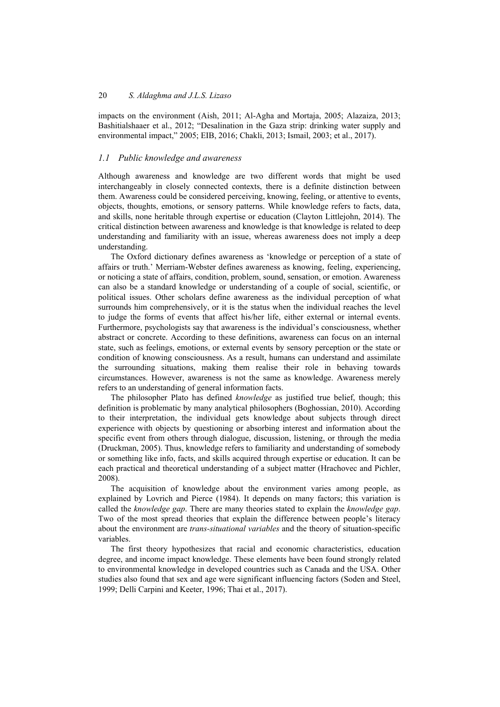impacts on the environment (Aish, 2011; Al-Agha and Mortaja, 2005; Alazaiza, 2013; Bashitialshaaer et al., 2012; "Desalination in the Gaza strip: drinking water supply and environmental impact," 2005; EIB, 2016; Chakli, 2013; Ismail, 2003; et al., 2017).

## *1.1 Public knowledge and awareness*

Although awareness and knowledge are two different words that might be used interchangeably in closely connected contexts, there is a definite distinction between them. Awareness could be considered perceiving, knowing, feeling, or attentive to events, objects, thoughts, emotions, or sensory patterns. While knowledge refers to facts, data, and skills, none heritable through expertise or education (Clayton Littlejohn, 2014). The critical distinction between awareness and knowledge is that knowledge is related to deep understanding and familiarity with an issue, whereas awareness does not imply a deep understanding.

The Oxford dictionary defines awareness as 'knowledge or perception of a state of affairs or truth.' Merriam-Webster defines awareness as knowing, feeling, experiencing, or noticing a state of affairs, condition, problem, sound, sensation, or emotion. Awareness can also be a standard knowledge or understanding of a couple of social, scientific, or political issues. Other scholars define awareness as the individual perception of what surrounds him comprehensively, or it is the status when the individual reaches the level to judge the forms of events that affect his/her life, either external or internal events. Furthermore, psychologists say that awareness is the individual's consciousness, whether abstract or concrete. According to these definitions, awareness can focus on an internal state, such as feelings, emotions, or external events by sensory perception or the state or condition of knowing consciousness. As a result, humans can understand and assimilate the surrounding situations, making them realise their role in behaving towards circumstances. However, awareness is not the same as knowledge. Awareness merely refers to an understanding of general information facts.

The philosopher Plato has defined *knowledge* as justified true belief, though; this definition is problematic by many analytical philosophers (Boghossian, 2010). According to their interpretation, the individual gets knowledge about subjects through direct experience with objects by questioning or absorbing interest and information about the specific event from others through dialogue, discussion, listening, or through the media (Druckman, 2005). Thus, knowledge refers to familiarity and understanding of somebody or something like info, facts, and skills acquired through expertise or education. It can be each practical and theoretical understanding of a subject matter (Hrachovec and Pichler, 2008).

The acquisition of knowledge about the environment varies among people, as explained by Lovrich and Pierce (1984). It depends on many factors; this variation is called the *knowledge gap*. There are many theories stated to explain the *knowledge gap*. Two of the most spread theories that explain the difference between people's literacy about the environment are *trans-situational variables* and the theory of situation-specific variables.

The first theory hypothesizes that racial and economic characteristics, education degree, and income impact knowledge. These elements have been found strongly related to environmental knowledge in developed countries such as Canada and the USA. Other studies also found that sex and age were significant influencing factors (Soden and Steel, 1999; Delli Carpini and Keeter, 1996; Thai et al., 2017).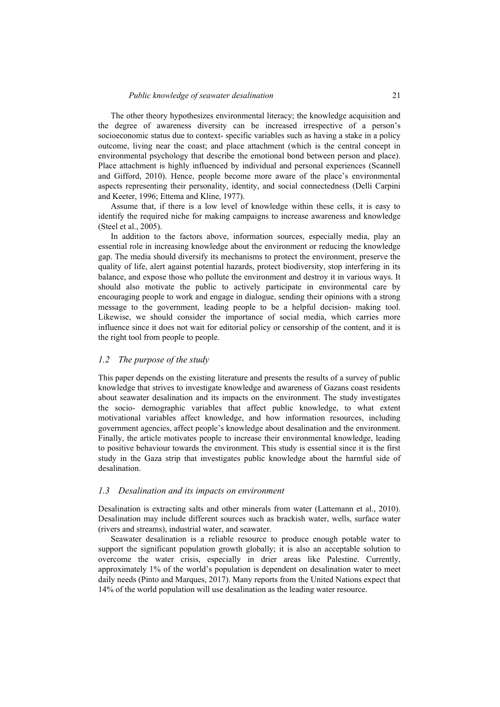The other theory hypothesizes environmental literacy; the knowledge acquisition and the degree of awareness diversity can be increased irrespective of a person's socioeconomic status due to context- specific variables such as having a stake in a policy outcome, living near the coast; and place attachment (which is the central concept in environmental psychology that describe the emotional bond between person and place). Place attachment is highly influenced by individual and personal experiences (Scannell and Gifford, 2010). Hence, people become more aware of the place's environmental aspects representing their personality, identity, and social connectedness (Delli Carpini and Keeter, 1996; Ettema and Kline, 1977).

Assume that, if there is a low level of knowledge within these cells, it is easy to identify the required niche for making campaigns to increase awareness and knowledge (Steel et al., 2005).

In addition to the factors above, information sources, especially media, play an essential role in increasing knowledge about the environment or reducing the knowledge gap. The media should diversify its mechanisms to protect the environment, preserve the quality of life, alert against potential hazards, protect biodiversity, stop interfering in its balance, and expose those who pollute the environment and destroy it in various ways. It should also motivate the public to actively participate in environmental care by encouraging people to work and engage in dialogue, sending their opinions with a strong message to the government, leading people to be a helpful decision- making tool. Likewise, we should consider the importance of social media, which carries more influence since it does not wait for editorial policy or censorship of the content, and it is the right tool from people to people.

### *1.2 The purpose of the study*

This paper depends on the existing literature and presents the results of a survey of public knowledge that strives to investigate knowledge and awareness of Gazans coast residents about seawater desalination and its impacts on the environment. The study investigates the socio- demographic variables that affect public knowledge, to what extent motivational variables affect knowledge, and how information resources, including government agencies, affect people's knowledge about desalination and the environment. Finally, the article motivates people to increase their environmental knowledge, leading to positive behaviour towards the environment. This study is essential since it is the first study in the Gaza strip that investigates public knowledge about the harmful side of desalination.

#### *1.3 Desalination and its impacts on environment*

Desalination is extracting salts and other minerals from water (Lattemann et al., 2010). Desalination may include different sources such as brackish water, wells, surface water (rivers and streams), industrial water, and seawater.

Seawater desalination is a reliable resource to produce enough potable water to support the significant population growth globally; it is also an acceptable solution to overcome the water crisis, especially in drier areas like Palestine. Currently, approximately 1% of the world's population is dependent on desalination water to meet daily needs (Pinto and Marques, 2017). Many reports from the United Nations expect that 14% of the world population will use desalination as the leading water resource.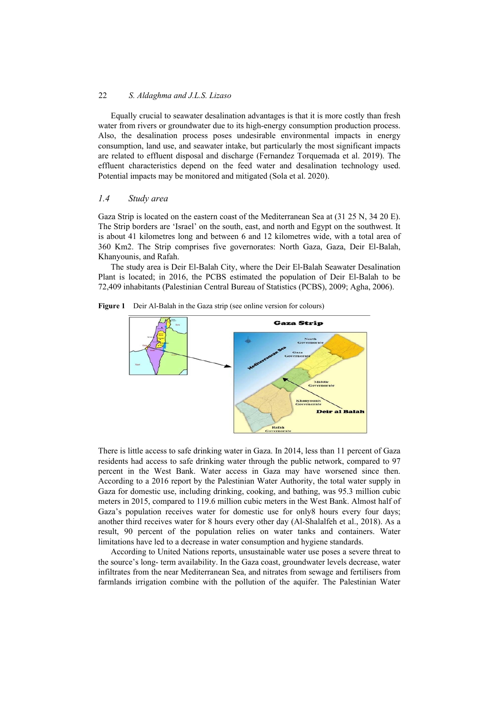Equally crucial to seawater desalination advantages is that it is more costly than fresh water from rivers or groundwater due to its high-energy consumption production process. Also, the desalination process poses undesirable environmental impacts in energy consumption, land use, and seawater intake, but particularly the most significant impacts are related to effluent disposal and discharge (Fernandez Torquemada et al. 2019). The effluent characteristics depend on the feed water and desalination technology used. Potential impacts may be monitored and mitigated (Sola et al. 2020).

### *1.4 Study area*

Gaza Strip is located on the eastern coast of the Mediterranean Sea at (31 25 N, 34 20 E). The Strip borders are 'Israel' on the south, east, and north and Egypt on the southwest. It is about 41 kilometres long and between 6 and 12 kilometres wide, with a total area of 360 Km2. The Strip comprises five governorates: North Gaza, Gaza, Deir El-Balah, Khanyounis, and Rafah.

The study area is Deir El-Balah City, where the Deir El-Balah Seawater Desalination Plant is located; in 2016, the PCBS estimated the population of Deir El-Balah to be 72,409 inhabitants (Palestinian Central Bureau of Statistics (PCBS), 2009; Agha, 2006).





There is little access to safe drinking water in Gaza. In 2014, less than 11 percent of Gaza residents had access to safe drinking water through the public network, compared to 97 percent in the West Bank. Water access in Gaza may have worsened since then. According to a 2016 report by the Palestinian Water Authority, the total water supply in Gaza for domestic use, including drinking, cooking, and bathing, was 95.3 million cubic meters in 2015, compared to 119.6 million cubic meters in the West Bank. Almost half of Gaza's population receives water for domestic use for only8 hours every four days; another third receives water for 8 hours every other day (Al-Shalalfeh et al., 2018). As a result, 90 percent of the population relies on water tanks and containers. Water limitations have led to a decrease in water consumption and hygiene standards.

According to United Nations reports, unsustainable water use poses a severe threat to the source's long- term availability. In the Gaza coast, groundwater levels decrease, water infiltrates from the near Mediterranean Sea, and nitrates from sewage and fertilisers from farmlands irrigation combine with the pollution of the aquifer. The Palestinian Water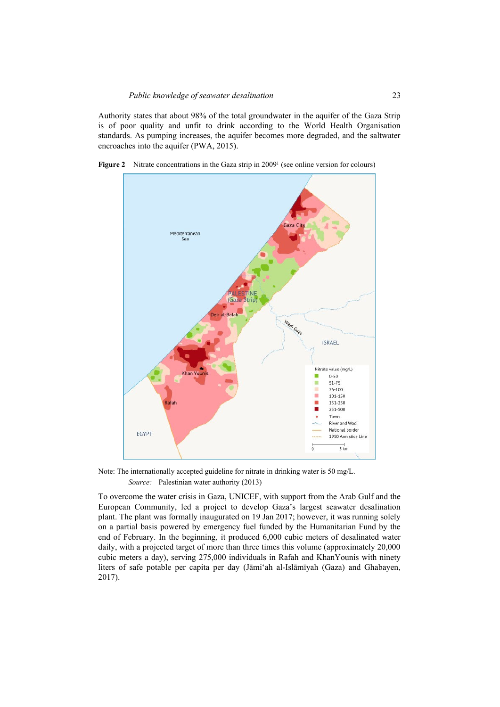Authority states that about 98% of the total groundwater in the aquifer of the Gaza Strip is of poor quality and unfit to drink according to the World Health Organisation standards. As pumping increases, the aquifer becomes more degraded, and the saltwater encroaches into the aquifer (PWA, 2015).



**Figure 2** Nitrate concentrations in the Gaza strip in 2009<sup>1</sup> (see online version for colours)

Note: The internationally accepted guideline for nitrate in drinking water is 50 mg/L. *Source:* Palestinian water authority (2013)

To overcome the water crisis in Gaza, UNICEF, with support from the Arab Gulf and the European Community, led a project to develop Gaza's largest seawater desalination plant. The plant was formally inaugurated on 19 Jan 2017; however, it was running solely on a partial basis powered by emergency fuel funded by the Humanitarian Fund by the end of February. In the beginning, it produced 6,000 cubic meters of desalinated water daily, with a projected target of more than three times this volume (approximately 20,000 cubic meters a day), serving 275,000 individuals in Rafah and KhanYounis with ninety liters of safe potable per capita per day (Jāmiʻah al-Islāmīyah (Gaza) and Ghabayen, 2017).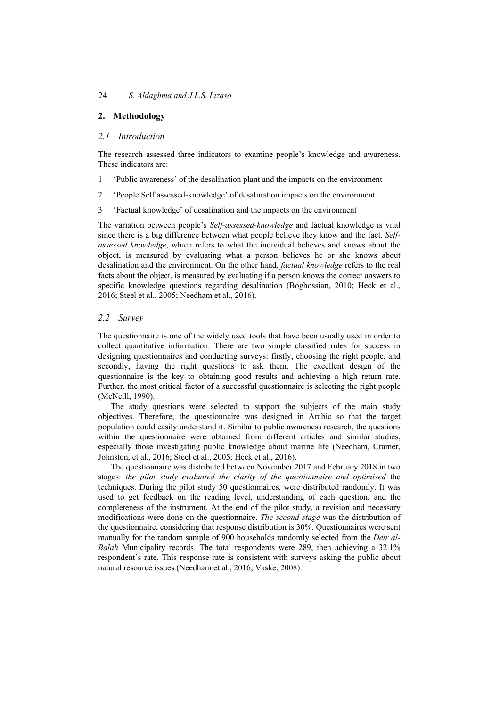# **2. Methodology**

# *2.1 Introduction*

The research assessed three indicators to examine people's knowledge and awareness. These indicators are:

- 1 'Public awareness' of the desalination plant and the impacts on the environment
- 2 'People Self assessed-knowledge' of desalination impacts on the environment
- 3 'Factual knowledge' of desalination and the impacts on the environment

The variation between people's *Self-assessed-knowledge* and factual knowledge is vital since there is a big difference between what people believe they know and the fact. *Selfassessed knowledge*, which refers to what the individual believes and knows about the object, is measured by evaluating what a person believes he or she knows about desalination and the environment. On the other hand, *factual knowledge* refers to the real facts about the object, is measured by evaluating if a person knows the correct answers to specific knowledge questions regarding desalination (Boghossian, 2010; Heck et al., 2016; Steel et al., 2005; Needham et al., 2016).

# *2.2 Survey*

The questionnaire is one of the widely used tools that have been usually used in order to collect quantitative information. There are two simple classified rules for success in designing questionnaires and conducting surveys: firstly, choosing the right people, and secondly, having the right questions to ask them. The excellent design of the questionnaire is the key to obtaining good results and achieving a high return rate. Further, the most critical factor of a successful questionnaire is selecting the right people (McNeill, 1990).

The study questions were selected to support the subjects of the main study objectives. Therefore, the questionnaire was designed in Arabic so that the target population could easily understand it. Similar to public awareness research, the questions within the questionnaire were obtained from different articles and similar studies, especially those investigating public knowledge about marine life (Needham, Cramer, Johnston, et al., 2016; Steel et al., 2005; Heck et al., 2016).

The questionnaire was distributed between November 2017 and February 2018 in two stages: *the pilot study evaluated the clarity of the questionnaire and optimised* the techniques. During the pilot study 50 questionnaires, were distributed randomly. It was used to get feedback on the reading level, understanding of each question, and the completeness of the instrument. At the end of the pilot study, a revision and necessary modifications were done on the questionnaire. *The second stage* was the distribution of the questionnaire, considering that response distribution is 30%. Questionnaires were sent manually for the random sample of 900 households randomly selected from the *Deir al-Balah* Municipality records. The total respondents were 289, then achieving a 32.1% respondent's rate. This response rate is consistent with surveys asking the public about natural resource issues (Needham et al., 2016; Vaske, 2008).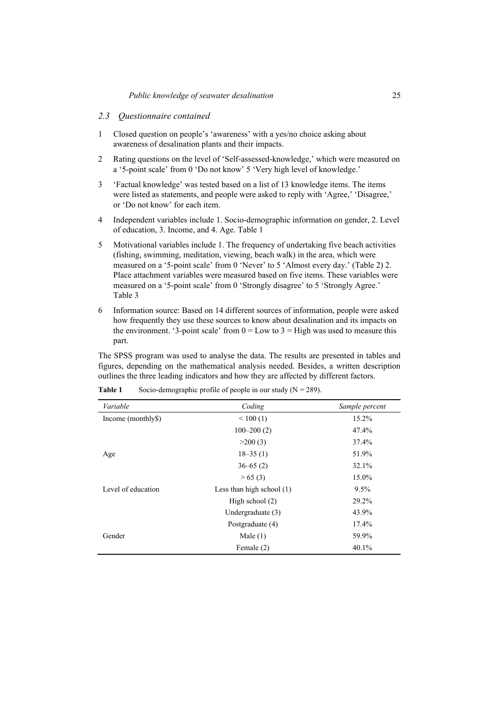### *2.3 Questionnaire contained*

- 1 Closed question on people's 'awareness' with a yes/no choice asking about awareness of desalination plants and their impacts.
- 2 Rating questions on the level of 'Self-assessed-knowledge,' which were measured on a '5-point scale' from 0 'Do not know' 5 'Very high level of knowledge.'
- 3 'Factual knowledge' was tested based on a list of 13 knowledge items. The items were listed as statements, and people were asked to reply with 'Agree,' 'Disagree,' or 'Do not know' for each item.
- 4 Independent variables include 1. Socio-demographic information on gender, 2. Level of education, 3. Income, and 4. Age. Table 1
- 5 Motivational variables include 1. The frequency of undertaking five beach activities (fishing, swimming, meditation, viewing, beach walk) in the area, which were measured on a '5-point scale' from 0 'Never' to 5 'Almost every day.' (Table 2) 2. Place attachment variables were measured based on five items. These variables were measured on a '5-point scale' from 0 'Strongly disagree' to 5 'Strongly Agree.' Table 3
- 6 Information source: Based on 14 different sources of information, people were asked how frequently they use these sources to know about desalination and its impacts on the environment. '3-point scale' from  $0 = Low$  to  $3 = High$  was used to measure this part.

The SPSS program was used to analyse the data. The results are presented in tables and figures, depending on the mathematical analysis needed. Besides, a written description outlines the three leading indicators and how they are affected by different factors.

| Variable           | Coding                      | Sample percent |
|--------------------|-----------------------------|----------------|
| Income (monthly\$) | < 100(1)                    | 15.2%          |
|                    | $100 - 200(2)$              | 47.4%          |
|                    | >200(3)                     | 37.4%          |
| Age                | $18 - 35(1)$                | 51.9%          |
|                    | $36 - 65(2)$                | 32.1%          |
|                    | > 65(3)                     | 15.0%          |
| Level of education | Less than high school $(1)$ | $9.5\%$        |
|                    | High school $(2)$           | 29.2%          |
|                    | Undergraduate (3)           | 43.9%          |
|                    | Postgraduate (4)            | 17.4%          |
| Gender             | Male $(1)$                  | 59.9%          |
|                    | Female (2)                  | 40.1%          |

| Table 1 |  | Socio-demographic profile of people in our study ( $N = 289$ ). |
|---------|--|-----------------------------------------------------------------|
|         |  |                                                                 |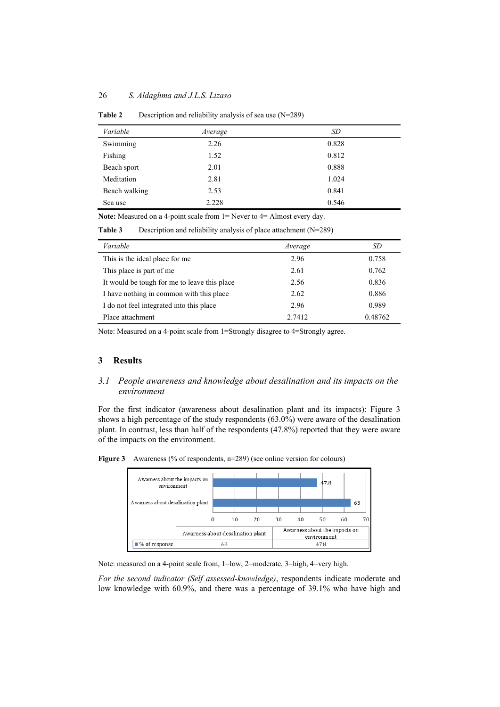### 26 *S. Aldaghma and J.L.S. Lizaso*

| Variable      | Average | SD    |
|---------------|---------|-------|
| Swimming      | 2.26    | 0.828 |
| Fishing       | 1.52    | 0.812 |
| Beach sport   | 2.01    | 0.888 |
| Meditation    | 2.81    | 1.024 |
| Beach walking | 2.53    | 0.841 |
| Sea use       | 2.228   | 0.546 |

**Table 2** Description and reliability analysis of sea use (N=289)

**Note:** Measured on a 4-point scale from 1= Never to 4= Almost every day.

**Table 3** Description and reliability analysis of place attachment (N=289)

| Variable                                     | Average | SD      |
|----------------------------------------------|---------|---------|
| This is the ideal place for me               | 2.96    | 0.758   |
| This place is part of me                     | 2.61    | 0.762   |
| It would be tough for me to leave this place | 2.56    | 0.836   |
| I have nothing in common with this place     | 2.62    | 0.886   |
| I do not feel integrated into this place     | 2.96    | 0.989   |
| Place attachment                             | 2.7412  | 0.48762 |

Note: Measured on a 4-point scale from 1=Strongly disagree to 4=Strongly agree.

# **3 Results**

# *3.1 People awareness and knowledge about desalination and its impacts on the environment*

For the first indicator (awareness about desalination plant and its impacts): Figure 3 shows a high percentage of the study respondents (63.0%) were aware of the desalination plant. In contrast, less than half of the respondents (47.8%) reported that they were aware of the impacts on the environment.





Note: measured on a 4-point scale from, 1=low, 2=moderate, 3=high, 4=very high.

*For the second indicator (Self assessed-knowledge)*, respondents indicate moderate and low knowledge with 60.9%, and there was a percentage of 39.1% who have high and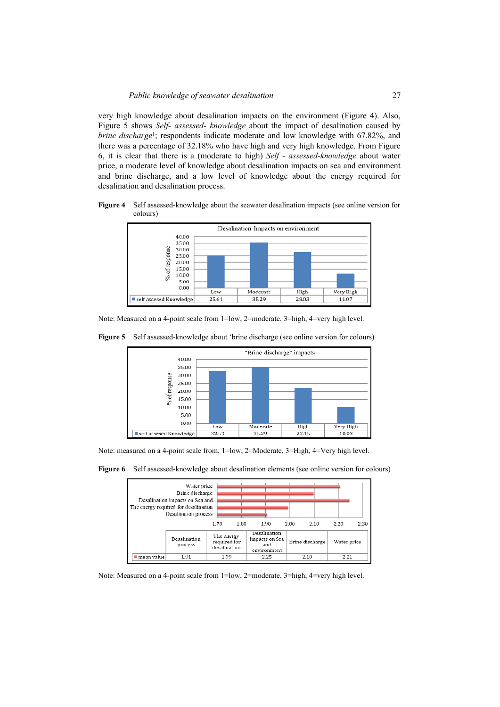very high knowledge about desalination impacts on the environment (Figure 4). Also, Figure 5 shows *Self- assessed- knowledge* about the impact of desalination caused by *brine discharge*<sup>1</sup>; respondents indicate moderate and low knowledge with 67.82%, and there was a percentage of 32.18% who have high and very high knowledge. From Figure 6, it is clear that there is a (moderate to high) *Self - assessed-knowledge* about water price, a moderate level of knowledge about desalination impacts on sea and environment and brine discharge, and a low level of knowledge about the energy required for desalination and desalination process.

**Figure 4** Self assessed-knowledge about the seawater desalination impacts (see online version for colours)



Note: Measured on a 4-point scale from 1=low, 2=moderate, 3=high, 4=very high level.

**Figure 5** Self assessed-knowledge about 'brine discharge (see online version for colours)



Note: measured on a 4-point scale from, 1=low, 2=Moderate, 3=High, 4=Very high level.

**Figure 6** Self assessed-knowledge about desalination elements (see online version for colours)



Note: Measured on a 4-point scale from 1=low, 2=moderate, 3=high, 4=very high level.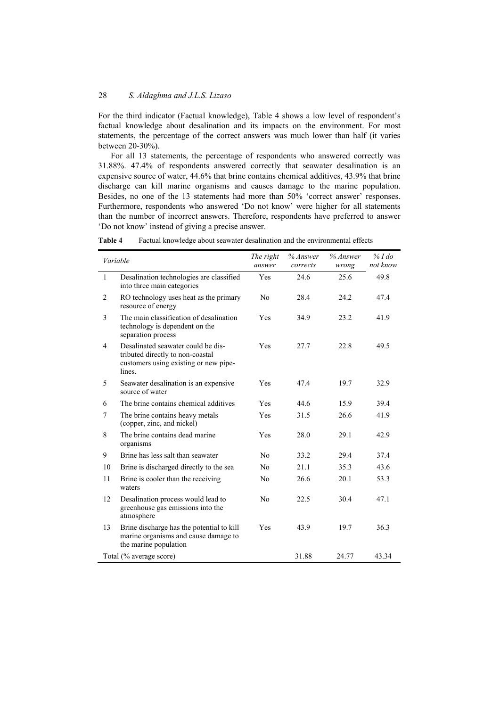For the third indicator (Factual knowledge), Table 4 shows a low level of respondent's factual knowledge about desalination and its impacts on the environment. For most statements, the percentage of the correct answers was much lower than half (it varies between 20-30%).

For all 13 statements, the percentage of respondents who answered correctly was 31.88%. 47.4% of respondents answered correctly that seawater desalination is an expensive source of water, 44.6% that brine contains chemical additives, 43.9% that brine discharge can kill marine organisms and causes damage to the marine population. Besides, no one of the 13 statements had more than 50% 'correct answer' responses. Furthermore, respondents who answered 'Do not know' were higher for all statements than the number of incorrect answers. Therefore, respondents have preferred to answer 'Do not know' instead of giving a precise answer.

|                | Variable                                                                                                                  | The right<br>answer | % Answer<br>corrects | $%$ Answer<br>wrong | $%$ I do<br>not know |
|----------------|---------------------------------------------------------------------------------------------------------------------------|---------------------|----------------------|---------------------|----------------------|
| $\mathbf{1}$   | Desalination technologies are classified<br>into three main categories                                                    | Yes                 | 24.6                 | 25.6                | 49.8                 |
| $\overline{2}$ | RO technology uses heat as the primary<br>resource of energy                                                              | N <sub>o</sub>      | 28.4                 | 24.2                | 47.4                 |
| 3              | The main classification of desalination<br>technology is dependent on the<br>separation process                           | Yes                 | 34.9                 | 23.2                | 41.9                 |
| $\overline{4}$ | Desalinated seawater could be dis-<br>tributed directly to non-coastal<br>customers using existing or new pipe-<br>lines. | Yes                 | 27.7                 | 22.8                | 49.5                 |
| 5              | Seawater desalination is an expensive<br>source of water                                                                  | Yes                 | 47.4                 | 19.7                | 32.9                 |
| 6              | The brine contains chemical additives                                                                                     | Yes                 | 44.6                 | 15.9                | 39.4                 |
| $\overline{7}$ | The brine contains heavy metals<br>(copper, zinc, and nickel)                                                             | Yes                 | 31.5                 | 26.6                | 41.9                 |
| 8              | The brine contains dead marine<br>organisms                                                                               | Yes                 | 28.0                 | 29.1                | 42.9                 |
| 9              | Brine has less salt than seawater                                                                                         | N <sub>0</sub>      | 33.2                 | 29.4                | 37.4                 |
| 10             | Brine is discharged directly to the sea                                                                                   | N <sub>o</sub>      | 21.1                 | 35.3                | 43.6                 |
| 11             | Brine is cooler than the receiving<br>waters                                                                              | No                  | 26.6                 | 20.1                | 53.3                 |
| 12             | Desalination process would lead to<br>greenhouse gas emissions into the<br>atmosphere                                     | No                  | 22.5                 | 30.4                | 47.1                 |
| 13             | Brine discharge has the potential to kill<br>marine organisms and cause damage to<br>the marine population                | Yes                 | 43.9                 | 19.7                | 36.3                 |
|                | Total (% average score)                                                                                                   |                     | 31.88                | 24.77               | 43.34                |

**Table 4** Factual knowledge about seawater desalination and the environmental effects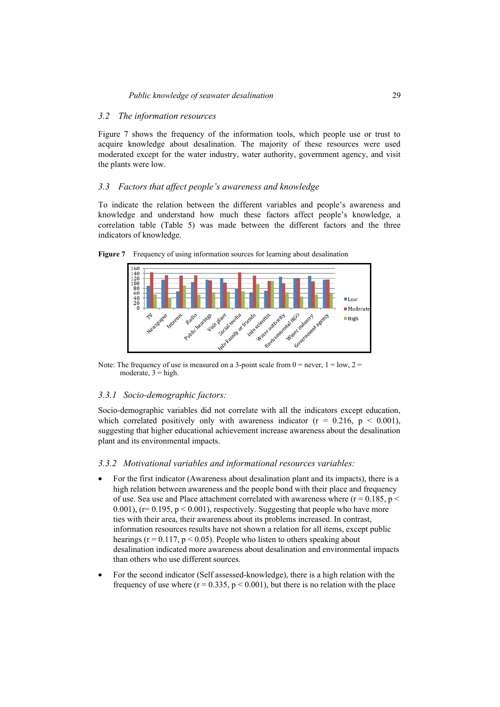# *3.2 The information resources*

Figure 7 shows the frequency of the information tools, which people use or trust to acquire knowledge about desalination. The majority of these resources were used moderated except for the water industry, water authority, government agency, and visit the plants were low.

# *3.3 Factors that affect people's awareness and knowledge*

To indicate the relation between the different variables and people's awareness and knowledge and understand how much these factors affect people's knowledge, a correlation table (Table 5) was made between the different factors and the three indicators of knowledge.





Note: The frequency of use is measured on a 3-point scale from  $0 =$  never,  $1 =$  low,  $2 =$ moderate,  $3 =$ high.

# *3.3.1 Socio-demographic factors:*

Socio-demographic variables did not correlate with all the indicators except education, which correlated positively only with awareness indicator  $(r = 0.216, p < 0.001)$ , suggesting that higher educational achievement increase awareness about the desalination plant and its environmental impacts.

# *3.3.2 Motivational variables and informational resources variables:*

- For the first indicator (Awareness about desalination plant and its impacts), there is a high relation between awareness and the people bond with their place and frequency of use. Sea use and Place attachment correlated with awareness where ( $r = 0.185$ ,  $p <$ 0.001), ( $r= 0.195$ ,  $p < 0.001$ ), respectively. Suggesting that people who have more ties with their area, their awareness about its problems increased. In contrast, information resources results have not shown a relation for all items, except public hearings ( $r = 0.117$ ,  $p \le 0.05$ ). People who listen to others speaking about desalination indicated more awareness about desalination and environmental impacts than others who use different sources.
- For the second indicator (Self assessed-knowledge), there is a high relation with the frequency of use where  $(r = 0.335, p \le 0.001)$ , but there is no relation with the place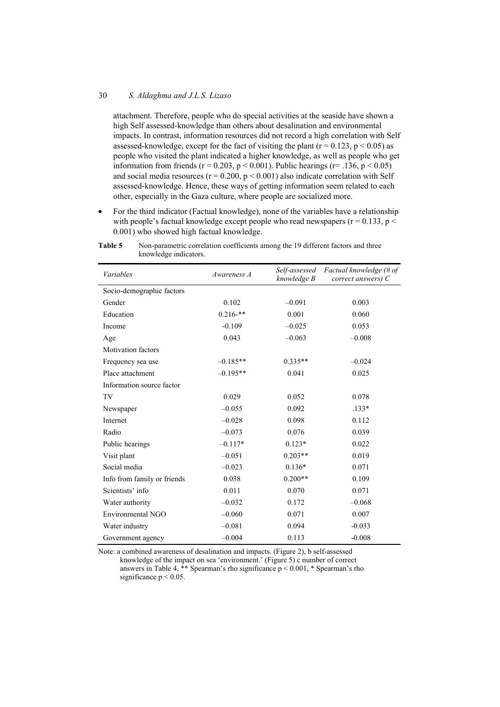### 30 *S. Aldaghma and J.L.S. Lizaso*

attachment. Therefore, people who do special activities at the seaside have shown a high Self assessed-knowledge than others about desalination and environmental impacts. In contrast, information resources did not record a high correlation with Self assessed-knowledge, except for the fact of visiting the plant ( $r = 0.123$ ,  $p < 0.05$ ) as people who visited the plant indicated a higher knowledge, as well as people who get information from friends ( $r = 0.203$ ,  $p < 0.001$ ). Public hearings ( $r = .136$ ,  $p < 0.05$ ) and social media resources ( $r = 0.200$ ,  $p < 0.001$ ) also indicate correlation with Self assessed-knowledge. Hence, these ways of getting information seem related to each other, especially in the Gaza culture, where people are socialized more.

• For the third indicator (Factual knowledge), none of the variables have a relationship with people's factual knowledge except people who read newspapers ( $r = 0.133$ ,  $p <$ 0.001) who showed high factual knowledge.

| Variables                   | Awareness A | knowledge B | Self-assessed Factual knowledge (# of<br>correct answers) $C$ |
|-----------------------------|-------------|-------------|---------------------------------------------------------------|
| Socio-demographic factors   |             |             |                                                               |
| Gender                      | 0.102       | $-0.091$    | 0.003                                                         |
| Education                   | $0.216-**$  | 0.001       | 0.060                                                         |
| Income                      | $-0.109$    | $-0.025$    | 0.053                                                         |
| Age                         | 0.043       | $-0.063$    | $-0.008$                                                      |
| <b>Motivation factors</b>   |             |             |                                                               |
| Frequency sea use           | $-0.185**$  | $0.335**$   | $-0.024$                                                      |
| Place attachment            | $-0.195**$  | 0.041       | 0.025                                                         |
| Information source factor   |             |             |                                                               |
| TV                          | 0.029       | 0.052       | 0.078                                                         |
| Newspaper                   | $-0.055$    | 0.092       | $.133*$                                                       |
| Internet                    | $-0.028$    | 0.098       | 0.112                                                         |
| Radio                       | $-0.073$    | 0.076       | 0.039                                                         |
| Public hearings             | $-0.117*$   | $0.123*$    | 0.022                                                         |
| Visit plant                 | $-0.051$    | $0.203**$   | 0.019                                                         |
| Social media                | $-0.023$    | $0.136*$    | 0.071                                                         |
| Info from family or friends | 0.038       | $0.200**$   | 0.109                                                         |
| Scientists' info            | 0.011       | 0.070       | 0.071                                                         |
| Water authority             | $-0.032$    | 0.172       | $-0.068$                                                      |
| Environmental NGO           | $-0.060$    | 0.071       | 0.007                                                         |
| Water industry              | $-0.081$    | 0.094       | $-0.033$                                                      |
| Government agency           | $-0.004$    | 0.113       | $-0.008$                                                      |

**Table 5** Non-parametric correlation coefficients among the 19 different factors and three knowledge indicators.

Note: a combined awareness of desalination and impacts. (Figure 2), b self-assessed knowledge of the impact on sea 'environment.' (Figure 5) c number of correct answers in Table 4, \*\* Spearman's rho significance  $p < 0.001$ , \* Spearman's rho significance  $p < 0.05$ .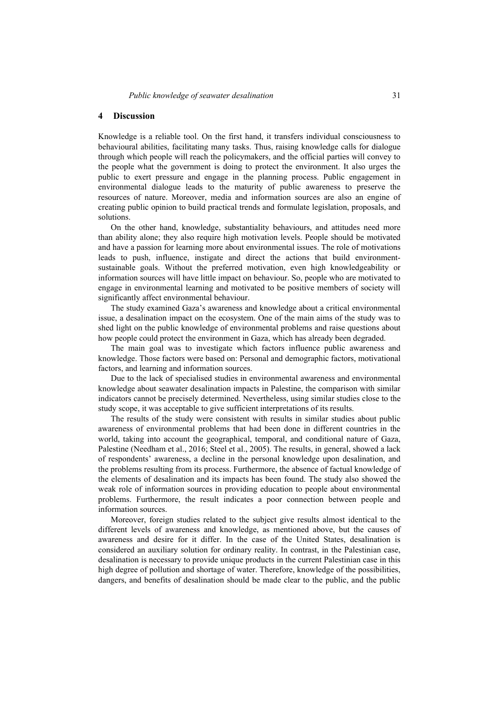#### **4 Discussion**

Knowledge is a reliable tool. On the first hand, it transfers individual consciousness to behavioural abilities, facilitating many tasks. Thus, raising knowledge calls for dialogue through which people will reach the policymakers, and the official parties will convey to the people what the government is doing to protect the environment. It also urges the public to exert pressure and engage in the planning process. Public engagement in environmental dialogue leads to the maturity of public awareness to preserve the resources of nature. Moreover, media and information sources are also an engine of creating public opinion to build practical trends and formulate legislation, proposals, and solutions.

On the other hand, knowledge, substantiality behaviours, and attitudes need more than ability alone; they also require high motivation levels. People should be motivated and have a passion for learning more about environmental issues. The role of motivations leads to push, influence, instigate and direct the actions that build environmentsustainable goals. Without the preferred motivation, even high knowledgeability or information sources will have little impact on behaviour. So, people who are motivated to engage in environmental learning and motivated to be positive members of society will significantly affect environmental behaviour.

The study examined Gaza's awareness and knowledge about a critical environmental issue, a desalination impact on the ecosystem. One of the main aims of the study was to shed light on the public knowledge of environmental problems and raise questions about how people could protect the environment in Gaza, which has already been degraded.

The main goal was to investigate which factors influence public awareness and knowledge. Those factors were based on: Personal and demographic factors, motivational factors, and learning and information sources.

Due to the lack of specialised studies in environmental awareness and environmental knowledge about seawater desalination impacts in Palestine, the comparison with similar indicators cannot be precisely determined. Nevertheless, using similar studies close to the study scope, it was acceptable to give sufficient interpretations of its results.

The results of the study were consistent with results in similar studies about public awareness of environmental problems that had been done in different countries in the world, taking into account the geographical, temporal, and conditional nature of Gaza, Palestine (Needham et al., 2016; Steel et al., 2005). The results, in general, showed a lack of respondents' awareness, a decline in the personal knowledge upon desalination, and the problems resulting from its process. Furthermore, the absence of factual knowledge of the elements of desalination and its impacts has been found. The study also showed the weak role of information sources in providing education to people about environmental problems. Furthermore, the result indicates a poor connection between people and information sources.

Moreover, foreign studies related to the subject give results almost identical to the different levels of awareness and knowledge, as mentioned above, but the causes of awareness and desire for it differ. In the case of the United States, desalination is considered an auxiliary solution for ordinary reality. In contrast, in the Palestinian case, desalination is necessary to provide unique products in the current Palestinian case in this high degree of pollution and shortage of water. Therefore, knowledge of the possibilities, dangers, and benefits of desalination should be made clear to the public, and the public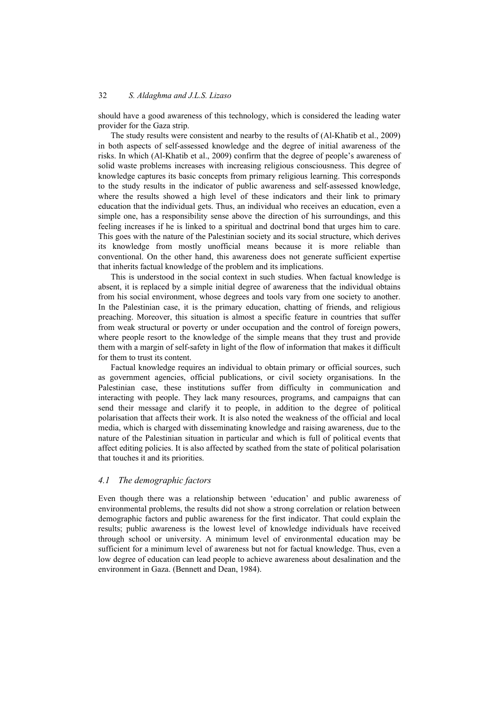should have a good awareness of this technology, which is considered the leading water provider for the Gaza strip.

The study results were consistent and nearby to the results of (Al-Khatib et al., 2009) in both aspects of self-assessed knowledge and the degree of initial awareness of the risks. In which (Al-Khatib et al., 2009) confirm that the degree of people's awareness of solid waste problems increases with increasing religious consciousness. This degree of knowledge captures its basic concepts from primary religious learning. This corresponds to the study results in the indicator of public awareness and self-assessed knowledge, where the results showed a high level of these indicators and their link to primary education that the individual gets. Thus, an individual who receives an education, even a simple one, has a responsibility sense above the direction of his surroundings, and this feeling increases if he is linked to a spiritual and doctrinal bond that urges him to care. This goes with the nature of the Palestinian society and its social structure, which derives its knowledge from mostly unofficial means because it is more reliable than conventional. On the other hand, this awareness does not generate sufficient expertise that inherits factual knowledge of the problem and its implications.

This is understood in the social context in such studies. When factual knowledge is absent, it is replaced by a simple initial degree of awareness that the individual obtains from his social environment, whose degrees and tools vary from one society to another. In the Palestinian case, it is the primary education, chatting of friends, and religious preaching. Moreover, this situation is almost a specific feature in countries that suffer from weak structural or poverty or under occupation and the control of foreign powers, where people resort to the knowledge of the simple means that they trust and provide them with a margin of self-safety in light of the flow of information that makes it difficult for them to trust its content.

Factual knowledge requires an individual to obtain primary or official sources, such as government agencies, official publications, or civil society organisations. In the Palestinian case, these institutions suffer from difficulty in communication and interacting with people. They lack many resources, programs, and campaigns that can send their message and clarify it to people, in addition to the degree of political polarisation that affects their work. It is also noted the weakness of the official and local media, which is charged with disseminating knowledge and raising awareness, due to the nature of the Palestinian situation in particular and which is full of political events that affect editing policies. It is also affected by scathed from the state of political polarisation that touches it and its priorities.

### *4.1 The demographic factors*

Even though there was a relationship between 'education' and public awareness of environmental problems, the results did not show a strong correlation or relation between demographic factors and public awareness for the first indicator. That could explain the results; public awareness is the lowest level of knowledge individuals have received through school or university. A minimum level of environmental education may be sufficient for a minimum level of awareness but not for factual knowledge. Thus, even a low degree of education can lead people to achieve awareness about desalination and the environment in Gaza. (Bennett and Dean, 1984).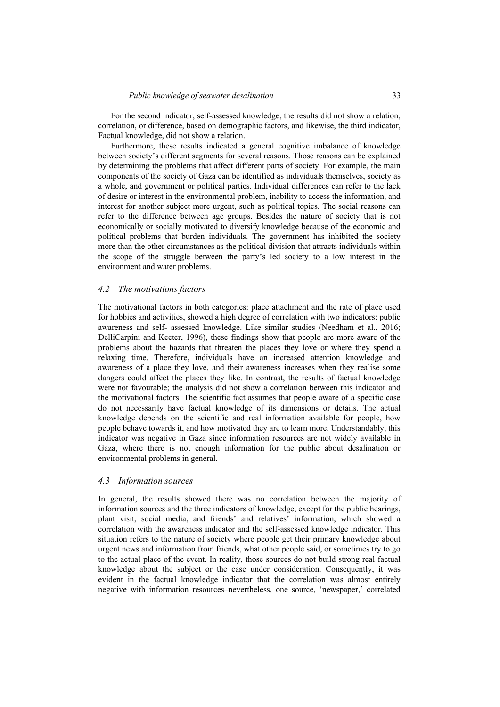For the second indicator, self-assessed knowledge, the results did not show a relation, correlation, or difference, based on demographic factors, and likewise, the third indicator, Factual knowledge, did not show a relation.

Furthermore, these results indicated a general cognitive imbalance of knowledge between society's different segments for several reasons. Those reasons can be explained by determining the problems that affect different parts of society. For example, the main components of the society of Gaza can be identified as individuals themselves, society as a whole, and government or political parties. Individual differences can refer to the lack of desire or interest in the environmental problem, inability to access the information, and interest for another subject more urgent, such as political topics. The social reasons can refer to the difference between age groups. Besides the nature of society that is not economically or socially motivated to diversify knowledge because of the economic and political problems that burden individuals. The government has inhibited the society more than the other circumstances as the political division that attracts individuals within the scope of the struggle between the party's led society to a low interest in the environment and water problems.

#### *4.2 The motivations factors*

The motivational factors in both categories: place attachment and the rate of place used for hobbies and activities, showed a high degree of correlation with two indicators: public awareness and self- assessed knowledge. Like similar studies (Needham et al., 2016; DelliCarpini and Keeter, 1996), these findings show that people are more aware of the problems about the hazards that threaten the places they love or where they spend a relaxing time. Therefore, individuals have an increased attention knowledge and awareness of a place they love, and their awareness increases when they realise some dangers could affect the places they like. In contrast, the results of factual knowledge were not favourable; the analysis did not show a correlation between this indicator and the motivational factors. The scientific fact assumes that people aware of a specific case do not necessarily have factual knowledge of its dimensions or details. The actual knowledge depends on the scientific and real information available for people, how people behave towards it, and how motivated they are to learn more. Understandably, this indicator was negative in Gaza since information resources are not widely available in Gaza, where there is not enough information for the public about desalination or environmental problems in general.

#### *4.3 Information sources*

In general, the results showed there was no correlation between the majority of information sources and the three indicators of knowledge, except for the public hearings, plant visit, social media, and friends' and relatives' information, which showed a correlation with the awareness indicator and the self-assessed knowledge indicator. This situation refers to the nature of society where people get their primary knowledge about urgent news and information from friends, what other people said, or sometimes try to go to the actual place of the event. In reality, those sources do not build strong real factual knowledge about the subject or the case under consideration. Consequently, it was evident in the factual knowledge indicator that the correlation was almost entirely negative with information resources–nevertheless, one source, 'newspaper,' correlated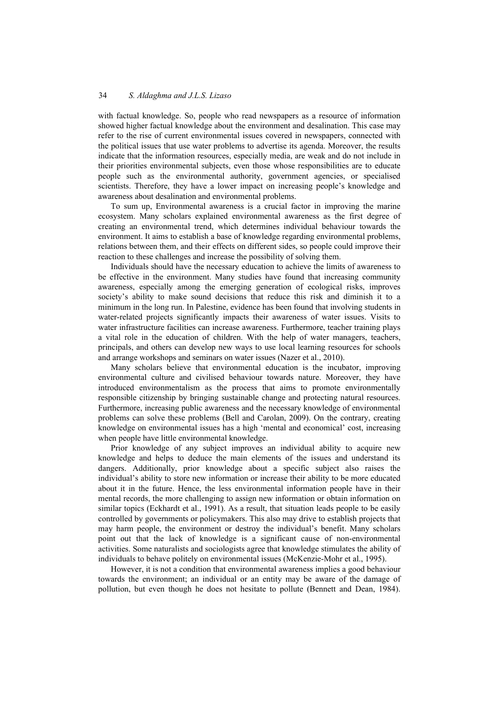with factual knowledge. So, people who read newspapers as a resource of information showed higher factual knowledge about the environment and desalination. This case may refer to the rise of current environmental issues covered in newspapers, connected with the political issues that use water problems to advertise its agenda. Moreover, the results indicate that the information resources, especially media, are weak and do not include in their priorities environmental subjects, even those whose responsibilities are to educate people such as the environmental authority, government agencies, or specialised scientists. Therefore, they have a lower impact on increasing people's knowledge and awareness about desalination and environmental problems.

To sum up, Environmental awareness is a crucial factor in improving the marine ecosystem. Many scholars explained environmental awareness as the first degree of creating an environmental trend, which determines individual behaviour towards the environment. It aims to establish a base of knowledge regarding environmental problems, relations between them, and their effects on different sides, so people could improve their reaction to these challenges and increase the possibility of solving them.

Individuals should have the necessary education to achieve the limits of awareness to be effective in the environment. Many studies have found that increasing community awareness, especially among the emerging generation of ecological risks, improves society's ability to make sound decisions that reduce this risk and diminish it to a minimum in the long run. In Palestine, evidence has been found that involving students in water-related projects significantly impacts their awareness of water issues. Visits to water infrastructure facilities can increase awareness. Furthermore, teacher training plays a vital role in the education of children. With the help of water managers, teachers, principals, and others can develop new ways to use local learning resources for schools and arrange workshops and seminars on water issues (Nazer et al., 2010).

Many scholars believe that environmental education is the incubator, improving environmental culture and civilised behaviour towards nature. Moreover, they have introduced environmentalism as the process that aims to promote environmentally responsible citizenship by bringing sustainable change and protecting natural resources. Furthermore, increasing public awareness and the necessary knowledge of environmental problems can solve these problems (Bell and Carolan, 2009). On the contrary, creating knowledge on environmental issues has a high 'mental and economical' cost, increasing when people have little environmental knowledge.

Prior knowledge of any subject improves an individual ability to acquire new knowledge and helps to deduce the main elements of the issues and understand its dangers. Additionally, prior knowledge about a specific subject also raises the individual's ability to store new information or increase their ability to be more educated about it in the future. Hence, the less environmental information people have in their mental records, the more challenging to assign new information or obtain information on similar topics (Eckhardt et al., 1991). As a result, that situation leads people to be easily controlled by governments or policymakers. This also may drive to establish projects that may harm people, the environment or destroy the individual's benefit. Many scholars point out that the lack of knowledge is a significant cause of non-environmental activities. Some naturalists and sociologists agree that knowledge stimulates the ability of individuals to behave politely on environmental issues (McKenzie-Mohr et al., 1995).

However, it is not a condition that environmental awareness implies a good behaviour towards the environment; an individual or an entity may be aware of the damage of pollution, but even though he does not hesitate to pollute (Bennett and Dean, 1984).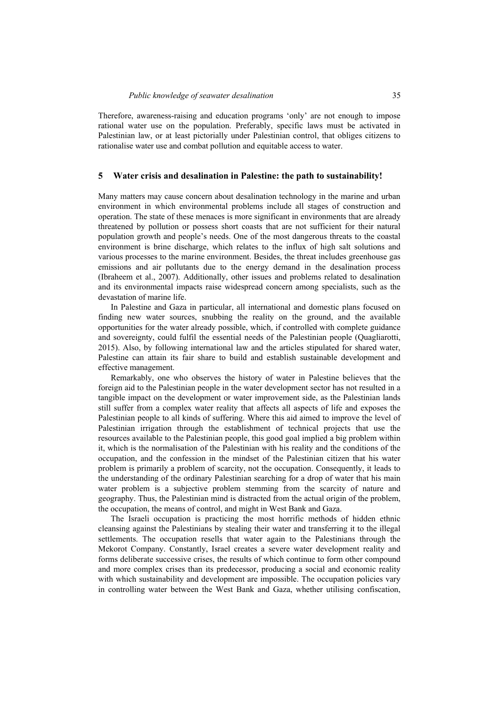Therefore, awareness-raising and education programs 'only' are not enough to impose rational water use on the population. Preferably, specific laws must be activated in Palestinian law, or at least pictorially under Palestinian control, that obliges citizens to rationalise water use and combat pollution and equitable access to water.

#### **5 Water crisis and desalination in Palestine: the path to sustainability!**

Many matters may cause concern about desalination technology in the marine and urban environment in which environmental problems include all stages of construction and operation. The state of these menaces is more significant in environments that are already threatened by pollution or possess short coasts that are not sufficient for their natural population growth and people's needs. One of the most dangerous threats to the coastal environment is brine discharge, which relates to the influx of high salt solutions and various processes to the marine environment. Besides, the threat includes greenhouse gas emissions and air pollutants due to the energy demand in the desalination process (Ibraheem et al., 2007). Additionally, other issues and problems related to desalination and its environmental impacts raise widespread concern among specialists, such as the devastation of marine life.

In Palestine and Gaza in particular, all international and domestic plans focused on finding new water sources, snubbing the reality on the ground, and the available opportunities for the water already possible, which, if controlled with complete guidance and sovereignty, could fulfil the essential needs of the Palestinian people (Quagliarotti, 2015). Also, by following international law and the articles stipulated for shared water, Palestine can attain its fair share to build and establish sustainable development and effective management.

Remarkably, one who observes the history of water in Palestine believes that the foreign aid to the Palestinian people in the water development sector has not resulted in a tangible impact on the development or water improvement side, as the Palestinian lands still suffer from a complex water reality that affects all aspects of life and exposes the Palestinian people to all kinds of suffering. Where this aid aimed to improve the level of Palestinian irrigation through the establishment of technical projects that use the resources available to the Palestinian people, this good goal implied a big problem within it, which is the normalisation of the Palestinian with his reality and the conditions of the occupation, and the confession in the mindset of the Palestinian citizen that his water problem is primarily a problem of scarcity, not the occupation. Consequently, it leads to the understanding of the ordinary Palestinian searching for a drop of water that his main water problem is a subjective problem stemming from the scarcity of nature and geography. Thus, the Palestinian mind is distracted from the actual origin of the problem, the occupation, the means of control, and might in West Bank and Gaza.

The Israeli occupation is practicing the most horrific methods of hidden ethnic cleansing against the Palestinians by stealing their water and transferring it to the illegal settlements. The occupation resells that water again to the Palestinians through the Mekorot Company. Constantly, Israel creates a severe water development reality and forms deliberate successive crises, the results of which continue to form other compound and more complex crises than its predecessor, producing a social and economic reality with which sustainability and development are impossible. The occupation policies vary in controlling water between the West Bank and Gaza, whether utilising confiscation,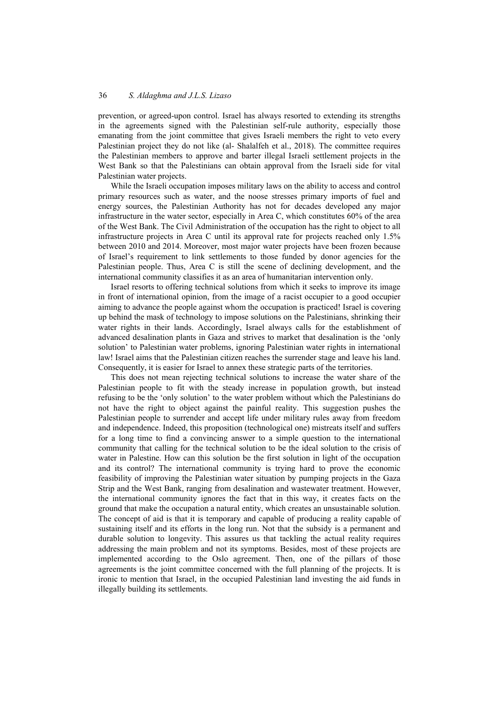prevention, or agreed-upon control. Israel has always resorted to extending its strengths in the agreements signed with the Palestinian self-rule authority, especially those emanating from the joint committee that gives Israeli members the right to veto every Palestinian project they do not like (al- Shalalfeh et al., 2018). The committee requires the Palestinian members to approve and barter illegal Israeli settlement projects in the West Bank so that the Palestinians can obtain approval from the Israeli side for vital Palestinian water projects.

While the Israeli occupation imposes military laws on the ability to access and control primary resources such as water, and the noose stresses primary imports of fuel and energy sources, the Palestinian Authority has not for decades developed any major infrastructure in the water sector, especially in Area C, which constitutes 60% of the area of the West Bank. The Civil Administration of the occupation has the right to object to all infrastructure projects in Area C until its approval rate for projects reached only 1.5% between 2010 and 2014. Moreover, most major water projects have been frozen because of Israel's requirement to link settlements to those funded by donor agencies for the Palestinian people. Thus, Area C is still the scene of declining development, and the international community classifies it as an area of humanitarian intervention only.

Israel resorts to offering technical solutions from which it seeks to improve its image in front of international opinion, from the image of a racist occupier to a good occupier aiming to advance the people against whom the occupation is practiced! Israel is covering up behind the mask of technology to impose solutions on the Palestinians, shrinking their water rights in their lands. Accordingly, Israel always calls for the establishment of advanced desalination plants in Gaza and strives to market that desalination is the 'only solution' to Palestinian water problems, ignoring Palestinian water rights in international law! Israel aims that the Palestinian citizen reaches the surrender stage and leave his land. Consequently, it is easier for Israel to annex these strategic parts of the territories.

This does not mean rejecting technical solutions to increase the water share of the Palestinian people to fit with the steady increase in population growth, but instead refusing to be the 'only solution' to the water problem without which the Palestinians do not have the right to object against the painful reality. This suggestion pushes the Palestinian people to surrender and accept life under military rules away from freedom and independence. Indeed, this proposition (technological one) mistreats itself and suffers for a long time to find a convincing answer to a simple question to the international community that calling for the technical solution to be the ideal solution to the crisis of water in Palestine. How can this solution be the first solution in light of the occupation and its control? The international community is trying hard to prove the economic feasibility of improving the Palestinian water situation by pumping projects in the Gaza Strip and the West Bank, ranging from desalination and wastewater treatment. However, the international community ignores the fact that in this way, it creates facts on the ground that make the occupation a natural entity, which creates an unsustainable solution. The concept of aid is that it is temporary and capable of producing a reality capable of sustaining itself and its efforts in the long run. Not that the subsidy is a permanent and durable solution to longevity. This assures us that tackling the actual reality requires addressing the main problem and not its symptoms. Besides, most of these projects are implemented according to the Oslo agreement. Then, one of the pillars of those agreements is the joint committee concerned with the full planning of the projects. It is ironic to mention that Israel, in the occupied Palestinian land investing the aid funds in illegally building its settlements.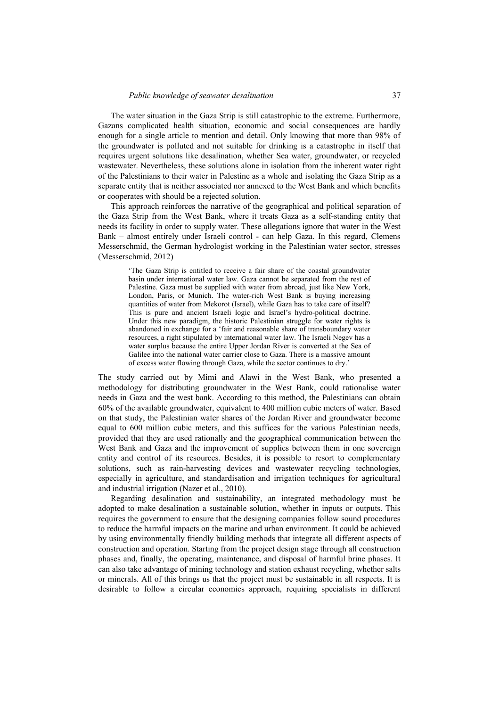The water situation in the Gaza Strip is still catastrophic to the extreme. Furthermore, Gazans complicated health situation, economic and social consequences are hardly enough for a single article to mention and detail. Only knowing that more than 98% of the groundwater is polluted and not suitable for drinking is a catastrophe in itself that requires urgent solutions like desalination, whether Sea water, groundwater, or recycled wastewater. Nevertheless, these solutions alone in isolation from the inherent water right of the Palestinians to their water in Palestine as a whole and isolating the Gaza Strip as a separate entity that is neither associated nor annexed to the West Bank and which benefits or cooperates with should be a rejected solution.

This approach reinforces the narrative of the geographical and political separation of the Gaza Strip from the West Bank, where it treats Gaza as a self-standing entity that needs its facility in order to supply water. These allegations ignore that water in the West Bank – almost entirely under Israeli control - can help Gaza. In this regard, Clemens Messerschmid, the German hydrologist working in the Palestinian water sector, stresses (Messerschmid, 2012)

'The Gaza Strip is entitled to receive a fair share of the coastal groundwater basin under international water law. Gaza cannot be separated from the rest of Palestine. Gaza must be supplied with water from abroad, just like New York, London, Paris, or Munich. The water-rich West Bank is buying increasing quantities of water from Mekorot (Israel), while Gaza has to take care of itself? This is pure and ancient Israeli logic and Israel's hydro-political doctrine. Under this new paradigm, the historic Palestinian struggle for water rights is abandoned in exchange for a 'fair and reasonable share of transboundary water resources, a right stipulated by international water law. The Israeli Negev has a water surplus because the entire Upper Jordan River is converted at the Sea of Galilee into the national water carrier close to Gaza. There is a massive amount of excess water flowing through Gaza, while the sector continues to dry.'

The study carried out by Mimi and Alawi in the West Bank, who presented a methodology for distributing groundwater in the West Bank, could rationalise water needs in Gaza and the west bank. According to this method, the Palestinians can obtain 60% of the available groundwater, equivalent to 400 million cubic meters of water. Based on that study, the Palestinian water shares of the Jordan River and groundwater become equal to 600 million cubic meters, and this suffices for the various Palestinian needs, provided that they are used rationally and the geographical communication between the West Bank and Gaza and the improvement of supplies between them in one sovereign entity and control of its resources. Besides, it is possible to resort to complementary solutions, such as rain-harvesting devices and wastewater recycling technologies, especially in agriculture, and standardisation and irrigation techniques for agricultural and industrial irrigation (Nazer et al., 2010).

Regarding desalination and sustainability, an integrated methodology must be adopted to make desalination a sustainable solution, whether in inputs or outputs. This requires the government to ensure that the designing companies follow sound procedures to reduce the harmful impacts on the marine and urban environment. It could be achieved by using environmentally friendly building methods that integrate all different aspects of construction and operation. Starting from the project design stage through all construction phases and, finally, the operating, maintenance, and disposal of harmful brine phases. It can also take advantage of mining technology and station exhaust recycling, whether salts or minerals. All of this brings us that the project must be sustainable in all respects. It is desirable to follow a circular economics approach, requiring specialists in different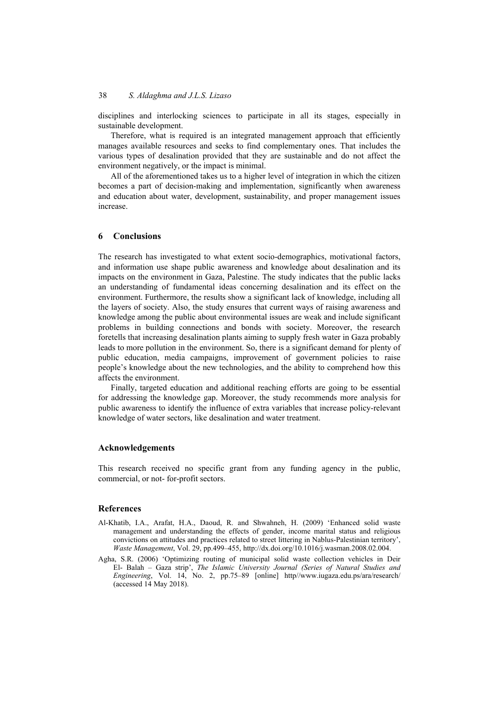disciplines and interlocking sciences to participate in all its stages, especially in sustainable development.

Therefore, what is required is an integrated management approach that efficiently manages available resources and seeks to find complementary ones. That includes the various types of desalination provided that they are sustainable and do not affect the environment negatively, or the impact is minimal.

All of the aforementioned takes us to a higher level of integration in which the citizen becomes a part of decision-making and implementation, significantly when awareness and education about water, development, sustainability, and proper management issues increase.

### **6 Conclusions**

The research has investigated to what extent socio-demographics, motivational factors, and information use shape public awareness and knowledge about desalination and its impacts on the environment in Gaza, Palestine. The study indicates that the public lacks an understanding of fundamental ideas concerning desalination and its effect on the environment. Furthermore, the results show a significant lack of knowledge, including all the layers of society. Also, the study ensures that current ways of raising awareness and knowledge among the public about environmental issues are weak and include significant problems in building connections and bonds with society. Moreover, the research foretells that increasing desalination plants aiming to supply fresh water in Gaza probably leads to more pollution in the environment. So, there is a significant demand for plenty of public education, media campaigns, improvement of government policies to raise people's knowledge about the new technologies, and the ability to comprehend how this affects the environment.

Finally, targeted education and additional reaching efforts are going to be essential for addressing the knowledge gap. Moreover, the study recommends more analysis for public awareness to identify the influence of extra variables that increase policy-relevant knowledge of water sectors, like desalination and water treatment.

## **Acknowledgements**

This research received no specific grant from any funding agency in the public, commercial, or not- for-profit sectors.

### **References**

- Al-Khatib, I.A., Arafat, H.A., Daoud, R. and Shwahneh, H. (2009) 'Enhanced solid waste management and understanding the effects of gender, income marital status and religious convictions on attitudes and practices related to street littering in Nablus-Palestinian territory', *Waste Management*, Vol. 29, pp.499–455, http://dx.doi.org/10.1016/j.wasman.2008.02.004.
- Agha, S.R. (2006) 'Optimizing routing of municipal solid waste collection vehicles in Deir El- Balah – Gaza strip', *The Islamic University Journal (Series of Natural Studies and Engineering*, Vol. 14, No. 2, pp.75–89 [online] http//www.iugaza.edu.ps/ara/research/ (accessed 14 May 2018).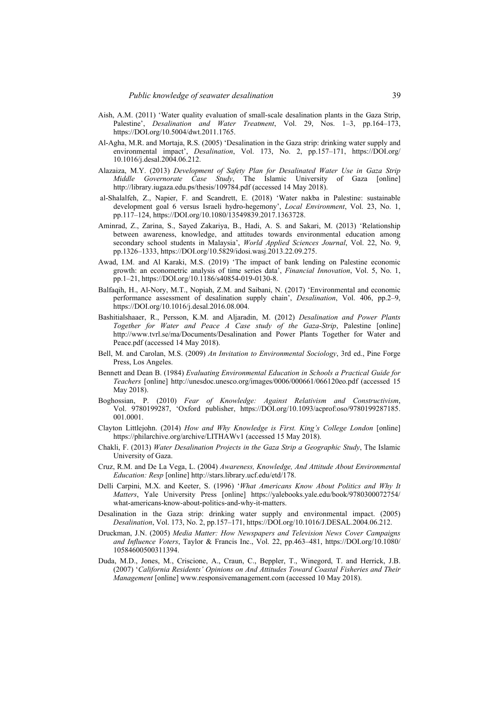- Aish, A.M. (2011) 'Water quality evaluation of small-scale desalination plants in the Gaza Strip, Palestine', *Desalination and Water Treatment*, Vol. 29, Nos. 1–3, pp.164–173, https://DOI.org/10.5004/dwt.2011.1765.
- Al-Agha, M.R. and Mortaja, R.S. (2005) 'Desalination in the Gaza strip: drinking water supply and environmental impact', *Desalination*, Vol. 173, No. 2, pp.157–171, https://DOI.org/ 10.1016/j.desal.2004.06.212.
- Alazaiza, M.Y. (2013) *Development of Safety Plan for Desalinated Water Use in Gaza Strip Middle Governorate Case Study*, The Islamic University of Gaza [online] http://library.iugaza.edu.ps/thesis/109784.pdf (accessed 14 May 2018).
- al-Shalalfeh, Z., Napier, F. and Scandrett, E. (2018) 'Water nakba in Palestine: sustainable development goal 6 versus Israeli hydro-hegemony', *Local Environment*, Vol. 23, No. 1, pp.117–124, https://DOI.org/10.1080/13549839.2017.1363728.
- Aminrad, Z., Zarina, S., Sayed Zakariya, B., Hadi, A. S. and Sakari, M. (2013) 'Relationship between awareness, knowledge, and attitudes towards environmental education among secondary school students in Malaysia', *World Applied Sciences Journal*, Vol. 22, No. 9, pp.1326–1333, https://DOI.org/10.5829/idosi.wasj.2013.22.09.275.
- Awad, I.M. and Al Karaki, M.S. (2019) 'The impact of bank lending on Palestine economic growth: an econometric analysis of time series data', *Financial Innovation*, Vol. 5, No. 1, pp.1–21, https://DOI.org/10.1186/s40854-019-0130-8.
- Balfaqih, H., Al-Nory, M.T., Nopiah, Z.M. and Saibani, N. (2017) 'Environmental and economic performance assessment of desalination supply chain', *Desalination*, Vol. 406, pp.2–9, https://DOI.org/10.1016/j.desal.2016.08.004.
- Bashitialshaaer, R., Persson, K.M. and Aljaradin, M. (2012) *Desalination and Power Plants Together for Water and Peace A Case study of the Gaza-Strip*, Palestine [online] http://www.tvrl.se/ma/Documents/Desalination and Power Plants Together for Water and Peace.pdf (accessed 14 May 2018).
- Bell, M. and Carolan, M.S. (2009) *An Invitation to Environmental Sociology*, 3rd ed., Pine Forge Press, Los Angeles.
- Bennett and Dean B. (1984) *Evaluating Environmental Education in Schools a Practical Guide for Teachers* [online] http://unesdoc.unesco.org/images/0006/000661/066120eo.pdf (accessed 15 May 2018).
- Boghossian, P. (2010) *Fear of Knowledge: Against Relativism and Constructivism*, Vol. 9780199287, 'Oxford publisher, https://DOI.org/10.1093/acprof:oso/9780199287185. 001.0001.
- Clayton Littlejohn. (2014) *How and Why Knowledge is First. King's College London* [online] https://philarchive.org/archive/LITHAWv1 (accessed 15 May 2018).
- Chakli, F. (2013) *Water Desalination Projects in the Gaza Strip a Geographic Study*, The Islamic University of Gaza.
- Cruz, R.M. and De La Vega, L. (2004) *Awareness, Knowledge, And Attitude About Environmental Education: Resp* [online] http://stars.library.ucf.edu/etd/178.
- Delli Carpini, M.X. and Keeter, S. (1996) '*What Americans Know About Politics and Why It Matters*, Yale University Press [online] https://yalebooks.yale.edu/book/9780300072754/ what-americans-know-about-politics-and-why-it-matters.
- Desalination in the Gaza strip: drinking water supply and environmental impact. (2005) *Desalination*, Vol. 173, No. 2, pp.157–171, https://DOI.org/10.1016/J.DESAL.2004.06.212.
- Druckman, J.N. (2005) *Media Matter: How Newspapers and Television News Cover Campaigns and Influence Voters*, Taylor & Francis Inc., Vol. 22, pp.463–481, https://DOI.org/10.1080/ 10584600500311394.
- Duda, M.D., Jones, M., Criscione, A., Craun, C., Beppler, T., Winegord, T. and Herrick, J.B. (2007) '*California Residents' Opinions on And Attitudes Toward Coastal Fisheries and Their Management* [online] www.responsivemanagement.com (accessed 10 May 2018).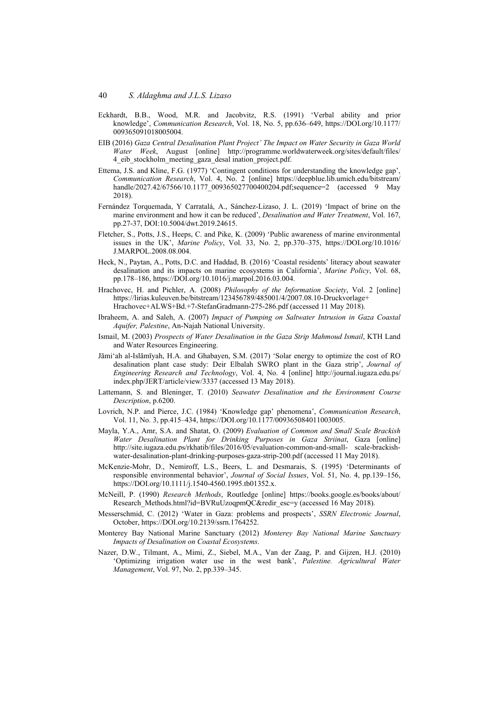- Eckhardt, B.B., Wood, M.R. and Jacobvitz, R.S. (1991) 'Verbal ability and prior knowledge', *Communication Research*, Vol. 18, No. 5, pp.636–649, https://DOI.org/10.1177/ 009365091018005004.
- EIB (2016) *Gaza Central Desalination Plant Project' The Impact on Water Security in Gaza World Water Week*, August [online] http://programme.worldwaterweek.org/sites/default/files/ 4\_eib\_stockholm\_meeting\_gaza\_desal ination\_project.pdf.
- Ettema, J.S. and Kline, F.G. (1977) 'Contingent conditions for understanding the knowledge gap', *Communication Research*, Vol. 4, No. 2 [online] https://deepblue.lib.umich.edu/bitstream/ handle/2027.42/67566/10.1177\_009365027700400204.pdf;sequence=2 (accessed 9 May 2018).
- Fernández Torquemada, Y Carratalá, A., Sánchez-Lizaso, J. L. (2019) 'Impact of brine on the marine environment and how it can be reduced', *Desalination and Water Treatment*, Vol. 167, pp.27-37, DOI:10.5004/dwt.2019.24615.
- Fletcher, S., Potts, J.S., Heeps, C. and Pike, K. (2009) 'Public awareness of marine environmental issues in the UK', *Marine Policy*, Vol. 33, No. 2, pp.370–375, https://DOI.org/10.1016/ J.MARPOL.2008.08.004.
- Heck, N., Paytan, A., Potts, D.C. and Haddad, B. (2016) 'Coastal residents' literacy about seawater desalination and its impacts on marine ecosystems in California', *Marine Policy*, Vol. 68, pp.178–186, https://DOI.org/10.1016/j.marpol.2016.03.004.
- Hrachovec, H. and Pichler, A. (2008) *Philosophy of the Information Society*, Vol. 2 [online] https://lirias.kuleuven.be/bitstream/123456789/485001/4/2007.08.10-Druckvorlage+ Hrachovec+ALWS+Bd.+7-StefanGradmann-275-286.pdf (accessed 11 May 2018).
- Ibraheem, A. and Saleh, A. (2007) *Impact of Pumping on Saltwater Intrusion in Gaza Coastal Aquifer, Palestine*, An-Najah National University.
- Ismail, M. (2003) *Prospects of Water Desalination in the Gaza Strip Mahmoud Ismail*, KTH Land and Water Resources Engineering.
- Jāmiʻah al-Islāmīyah, H.A. and Ghabayen, S.M. (2017) 'Solar energy to optimize the cost of RO desalination plant case study: Deir Elbalah SWRO plant in the Gaza strip', *Journal of Engineering Research and Technology*, Vol. 4, No. 4 [online] http://journal.iugaza.edu.ps/ index.php/JERT/article/view/3337 (accessed 13 May 2018).
- Lattemann, S. and Bleninger, T. (2010) *Seawater Desalination and the Environment Course Description*, p.6200.
- Lovrich, N.P. and Pierce, J.C. (1984) 'Knowledge gap' phenomena', *Communication Research*, Vol. 11, No. 3, pp.415–434, https://DOI.org/10.1177/009365084011003005.
- Mayla, Y.A., Amr, S.A. and Shatat, O. (2009) *Evaluation of Common and Small Scale Brackish Water Desalination Plant for Drinking Purposes in Gaza Striinat*, Gaza [online] http://site.iugaza.edu.ps/rkhatib/files/2016/05/evaluation-common-and-small- scale-brackishwater-desalination-plant-drinking-purposes-gaza-strip-200.pdf (accessed 11 May 2018).
- McKenzie-Mohr, D., Nemiroff, L.S., Beers, L. and Desmarais, S. (1995) 'Determinants of responsible environmental behavior', *Journal of Social Issues*, Vol. 51, No. 4, pp.139–156, https://DOI.org/10.1111/j.1540-4560.1995.tb01352.x.
- McNeill, P. (1990) *Research Methods*, Routledge [online] https://books.google.es/books/about/ Research\_Methods.html?id=BVRuUzoqpmQC&redir\_esc=y (accessed 16 May 2018).
- Messerschmid, C. (2012) 'Water in Gaza: problems and prospects', *SSRN Electronic Journal*, October, https://DOI.org/10.2139/ssrn.1764252.
- Monterey Bay National Marine Sanctuary (2012) *Monterey Bay National Marine Sanctuary Impacts of Desalination on Coastal Ecosystems*.
- Nazer, D.W., Tilmant, A., Mimi, Z., Siebel, M.A., Van der Zaag, P. and Gijzen, H.J. (2010) 'Optimizing irrigation water use in the west bank', *Palestine. Agricultural Water Management*, Vol. 97, No. 2, pp.339–345.